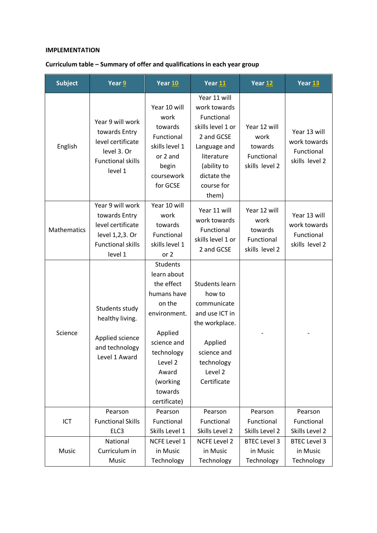## **IMPLEMENTATION**

## **Curriculum table – Summary of offer and qualifications in each year group**

| <b>Subject</b>     | Year 9                                                                                                           | Year 10                                                                                                                                                                                  | Year <sub>11</sub>                                                                                                                                               | <b>Year 12</b>                                                  | <b>Year 13</b>                                               |
|--------------------|------------------------------------------------------------------------------------------------------------------|------------------------------------------------------------------------------------------------------------------------------------------------------------------------------------------|------------------------------------------------------------------------------------------------------------------------------------------------------------------|-----------------------------------------------------------------|--------------------------------------------------------------|
| English            | Year 9 will work<br>towards Entry<br>level certificate<br>level 3. Or<br><b>Functional skills</b><br>level 1     | Year 10 will<br>work<br>towards<br>Functional<br>skills level 1<br>or 2 and<br>begin<br>coursework<br>for GCSE                                                                           | Year 11 will<br>work towards<br>Functional<br>skills level 1 or<br>2 and GCSE<br>Language and<br>literature<br>(ability to<br>dictate the<br>course for<br>them) | Year 12 will<br>work<br>towards<br>Functional<br>skills level 2 | Year 13 will<br>work towards<br>Functional<br>skills level 2 |
| <b>Mathematics</b> | Year 9 will work<br>towards Entry<br>level certificate<br>level 1,2,3. Or<br><b>Functional skills</b><br>level 1 | Year 10 will<br>work<br>towards<br>Functional<br>skills level 1<br>or $2$                                                                                                                | Year 11 will<br>work towards<br>Functional<br>skills level 1 or<br>2 and GCSE                                                                                    | Year 12 will<br>work<br>towards<br>Functional<br>skills level 2 | Year 13 will<br>work towards<br>Functional<br>skills level 2 |
| Science            | Students study<br>healthy living.<br>Applied science<br>and technology<br>Level 1 Award                          | <b>Students</b><br>learn about<br>the effect<br>humans have<br>on the<br>environment.<br>Applied<br>science and<br>technology<br>Level 2<br>Award<br>(working<br>towards<br>certificate) | <b>Students learn</b><br>how to<br>communicate<br>and use ICT in<br>the workplace.<br>Applied<br>science and<br>technology<br>Level 2<br>Certificate             |                                                                 |                                                              |
| ICT                | Pearson<br><b>Functional Skills</b><br>ELC3                                                                      | Pearson<br>Functional<br>Skills Level 1                                                                                                                                                  | Pearson<br>Functional<br>Skills Level 2                                                                                                                          | Pearson<br>Functional<br>Skills Level 2                         | Pearson<br>Functional<br>Skills Level 2                      |
| Music              | National<br>Curriculum in<br>Music                                                                               | <b>NCFE Level 1</b><br>in Music<br>Technology                                                                                                                                            | <b>NCFE Level 2</b><br>in Music<br>Technology                                                                                                                    | <b>BTEC Level 3</b><br>in Music<br>Technology                   | <b>BTEC Level 3</b><br>in Music<br>Technology                |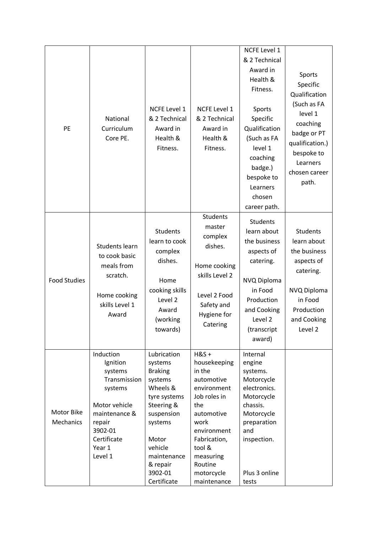| & 2 Technical<br>Award in<br>Sports<br>Health &<br>Specific<br>Fitness.<br>Qualification<br>(Such as FA<br><b>NCFE Level 1</b><br><b>NCFE Level 1</b><br>Sports<br>level 1<br>National<br>& 2 Technical<br>& 2 Technical<br>Specific<br>coaching<br>PE<br>Qualification<br>Curriculum<br>Award in<br>Award in<br>badge or PT<br>Health &<br>Core PE.<br>Health &<br>(Such as FA<br>qualification.)<br>level 1<br>Fitness.<br>Fitness.<br>bespoke to<br>coaching<br>Learners<br>badge.)<br>chosen career<br>bespoke to<br>path.<br>Learners<br>chosen |                         |  | NCFE Level 1 |  |
|------------------------------------------------------------------------------------------------------------------------------------------------------------------------------------------------------------------------------------------------------------------------------------------------------------------------------------------------------------------------------------------------------------------------------------------------------------------------------------------------------------------------------------------------------|-------------------------|--|--------------|--|
|                                                                                                                                                                                                                                                                                                                                                                                                                                                                                                                                                      |                         |  |              |  |
|                                                                                                                                                                                                                                                                                                                                                                                                                                                                                                                                                      |                         |  |              |  |
|                                                                                                                                                                                                                                                                                                                                                                                                                                                                                                                                                      |                         |  |              |  |
|                                                                                                                                                                                                                                                                                                                                                                                                                                                                                                                                                      |                         |  |              |  |
| career path.                                                                                                                                                                                                                                                                                                                                                                                                                                                                                                                                         |                         |  |              |  |
| <b>Students</b>                                                                                                                                                                                                                                                                                                                                                                                                                                                                                                                                      |                         |  |              |  |
| <b>Students</b><br>master<br>learn about<br><b>Students</b><br><b>Students</b>                                                                                                                                                                                                                                                                                                                                                                                                                                                                       |                         |  |              |  |
| complex<br>learn about<br>learn to cook<br>the business                                                                                                                                                                                                                                                                                                                                                                                                                                                                                              | <b>Food Studies</b>     |  |              |  |
| Students learn<br>dishes.<br>the business<br>complex<br>aspects of                                                                                                                                                                                                                                                                                                                                                                                                                                                                                   |                         |  |              |  |
| to cook basic<br>dishes.<br>aspects of<br>catering.                                                                                                                                                                                                                                                                                                                                                                                                                                                                                                  |                         |  |              |  |
| meals from<br>Home cooking<br>catering.                                                                                                                                                                                                                                                                                                                                                                                                                                                                                                              |                         |  |              |  |
| skills Level 2<br>scratch.<br>NVQ Diploma<br>Home                                                                                                                                                                                                                                                                                                                                                                                                                                                                                                    |                         |  |              |  |
| in Food<br>cooking skills<br>NVQ Diploma<br>Level 2 Food<br>Home cooking                                                                                                                                                                                                                                                                                                                                                                                                                                                                             |                         |  |              |  |
| in Food<br>Level 2<br>Production<br>skills Level 1<br>Safety and                                                                                                                                                                                                                                                                                                                                                                                                                                                                                     |                         |  |              |  |
| and Cooking<br>Production<br>Award<br>Hygiene for<br>Award                                                                                                                                                                                                                                                                                                                                                                                                                                                                                           |                         |  |              |  |
| Level 2<br>and Cooking<br>(working<br>Catering                                                                                                                                                                                                                                                                                                                                                                                                                                                                                                       |                         |  |              |  |
| (transcript<br>towards)<br>Level 2                                                                                                                                                                                                                                                                                                                                                                                                                                                                                                                   |                         |  |              |  |
| award)                                                                                                                                                                                                                                                                                                                                                                                                                                                                                                                                               |                         |  |              |  |
| Internal<br>Induction<br>Lubrication<br>$H&S+$                                                                                                                                                                                                                                                                                                                                                                                                                                                                                                       |                         |  |              |  |
| Ignition<br>housekeeping<br>systems<br>engine                                                                                                                                                                                                                                                                                                                                                                                                                                                                                                        |                         |  |              |  |
| <b>Braking</b><br>in the<br>systems.<br>systems<br>Transmission                                                                                                                                                                                                                                                                                                                                                                                                                                                                                      |                         |  |              |  |
| Motorcycle<br>systems<br>automotive<br>Wheels &<br>electronics.<br>environment<br>systems                                                                                                                                                                                                                                                                                                                                                                                                                                                            | Motor Bike<br>Mechanics |  |              |  |
| tyre systems<br>Job roles in<br>Motorcycle                                                                                                                                                                                                                                                                                                                                                                                                                                                                                                           |                         |  |              |  |
| Motor vehicle<br>chassis.<br>Steering &<br>the                                                                                                                                                                                                                                                                                                                                                                                                                                                                                                       |                         |  |              |  |
| Motorcycle<br>maintenance &<br>suspension<br>automotive                                                                                                                                                                                                                                                                                                                                                                                                                                                                                              |                         |  |              |  |
| systems<br>work<br>preparation<br>repair<br>3902-01<br>environment<br>and                                                                                                                                                                                                                                                                                                                                                                                                                                                                            |                         |  |              |  |
| Certificate<br>Motor<br>Fabrication,<br>inspection.                                                                                                                                                                                                                                                                                                                                                                                                                                                                                                  |                         |  |              |  |
| Year 1<br>vehicle<br>tool &                                                                                                                                                                                                                                                                                                                                                                                                                                                                                                                          |                         |  |              |  |
| Level 1<br>maintenance<br>measuring                                                                                                                                                                                                                                                                                                                                                                                                                                                                                                                  |                         |  |              |  |
| & repair<br>Routine                                                                                                                                                                                                                                                                                                                                                                                                                                                                                                                                  |                         |  |              |  |
| 3902-01<br>Plus 3 online<br>motorcycle<br>Certificate<br>maintenance<br>tests                                                                                                                                                                                                                                                                                                                                                                                                                                                                        |                         |  |              |  |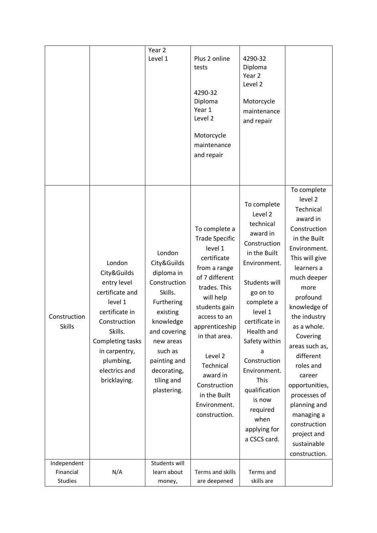|                               |                                                                                                                                                                                                    | Year 2<br>Level 1                                                                                                                                                                                         | Plus 2 online<br>tests<br>4290-32<br>Diploma<br>Year 1<br>Level 2<br>Motorcycle<br>maintenance<br>and repair                                                                                                                                                                                             | 4290-32<br>Diploma<br>Year 2<br>Level 2<br>Motorcycle<br>maintenance<br>and repair                                                                                                                                                                                                                                                 |                                                                                                                                                                                                                                                                                                                                                                                                                               |
|-------------------------------|----------------------------------------------------------------------------------------------------------------------------------------------------------------------------------------------------|-----------------------------------------------------------------------------------------------------------------------------------------------------------------------------------------------------------|----------------------------------------------------------------------------------------------------------------------------------------------------------------------------------------------------------------------------------------------------------------------------------------------------------|------------------------------------------------------------------------------------------------------------------------------------------------------------------------------------------------------------------------------------------------------------------------------------------------------------------------------------|-------------------------------------------------------------------------------------------------------------------------------------------------------------------------------------------------------------------------------------------------------------------------------------------------------------------------------------------------------------------------------------------------------------------------------|
| Construction<br><b>Skills</b> | London<br>City&Guilds<br>entry level<br>certificate and<br>level 1<br>certificate in<br>Construction<br>Skills.<br>Completing tasks<br>in carpentry,<br>plumbing,<br>electrics and<br>bricklaying. | London<br>City&Guilds<br>diploma in<br>Construction<br>Skills.<br>Furthering<br>existing<br>knowledge<br>and covering<br>new areas<br>such as<br>painting and<br>decorating,<br>tiling and<br>plastering. | To complete a<br><b>Trade Specific</b><br>level 1<br>certificate<br>from a range<br>of 7 different<br>trades. This<br>will help<br>students gain<br>access to an<br>apprenticeship<br>in that area.<br>Level 2<br>Technical<br>award in<br>Construction<br>in the Built<br>Environment.<br>construction. | To complete<br>Level 2<br>technical<br>award in<br>Construction<br>in the Built<br>Environment.<br>Students will<br>go on to<br>complete a<br>level 1<br>certificate in<br>Health and<br>Safety within<br>a<br>Construction<br>Environment.<br>This<br>qualification<br>is now<br>required<br>when<br>applying for<br>a CSCS card. | To complete<br>level <sub>2</sub><br>Technical<br>award in<br>Construction<br>in the Built<br>Environment.<br>This will give<br>learners a<br>much deeper<br>more<br>profound<br>knowledge of<br>the industry<br>as a whole.<br>Covering<br>areas such as,<br>different<br>roles and<br>career<br>opportunities,<br>processes of<br>planning and<br>managing a<br>construction<br>project and<br>sustainable<br>construction. |
| Independent                   |                                                                                                                                                                                                    | Students will                                                                                                                                                                                             |                                                                                                                                                                                                                                                                                                          |                                                                                                                                                                                                                                                                                                                                    |                                                                                                                                                                                                                                                                                                                                                                                                                               |
| Financial<br>Studies          | N/A                                                                                                                                                                                                | learn about<br>money,                                                                                                                                                                                     | Terms and skills<br>are deepened                                                                                                                                                                                                                                                                         | Terms and<br>skills are                                                                                                                                                                                                                                                                                                            |                                                                                                                                                                                                                                                                                                                                                                                                                               |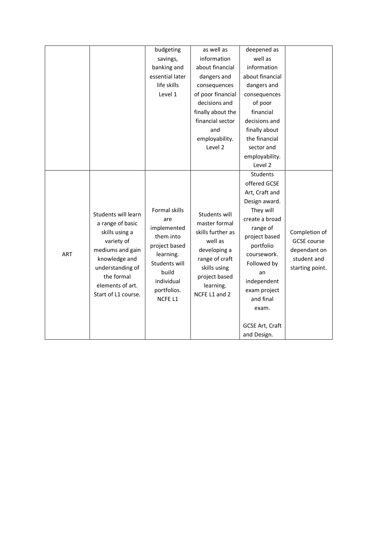|                         | budgeting       | as well as        | deepened as     |                    |
|-------------------------|-----------------|-------------------|-----------------|--------------------|
|                         | savings,        | information       | well as         |                    |
|                         | banking and     | about financial   | information     |                    |
|                         | essential later | dangers and       | about financial |                    |
|                         | life skills     | consequences      | dangers and     |                    |
|                         | Level 1         | of poor financial | consequences    |                    |
|                         |                 | decisions and     | of poor         |                    |
|                         |                 | finally about the | financial       |                    |
|                         |                 | financial sector  | decisions and   |                    |
|                         |                 | and               | finally about   |                    |
|                         |                 | employability.    | the financial   |                    |
|                         |                 | Level 2           | sector and      |                    |
|                         |                 |                   | employability.  |                    |
|                         |                 |                   | Level 2         |                    |
|                         |                 |                   | <b>Students</b> |                    |
|                         |                 |                   | offered GCSE    |                    |
|                         |                 |                   | Art, Craft and  |                    |
|                         |                 |                   | Design award.   |                    |
| Students will learn     | Formal skills   | Students will     | They will       |                    |
| a range of basic        | are             | master formal     | create a broad  |                    |
| skills using a          | implemented     | skills further as | range of        | Completion of      |
| variety of              | them into       | well as           | project based   | <b>GCSE</b> course |
|                         | project based   |                   | portfolio       |                    |
| mediums and gain<br>ART | learning.       | developing a      | coursework.     | dependant on       |
| knowledge and           | Students will   | range of craft    | Followed by     | student and        |
| understanding of        | build           | skills using      | an              | starting point.    |
| the formal              | individual      | project based     | independent     |                    |
| elements of art.        | portfolios.     | learning.         | exam project    |                    |
| Start of L1 course.     | NCFE L1         | NCFE L1 and 2     | and final       |                    |
|                         |                 |                   | exam.           |                    |
|                         |                 |                   |                 |                    |
|                         |                 |                   | GCSE Art, Craft |                    |
|                         |                 |                   | and Design.     |                    |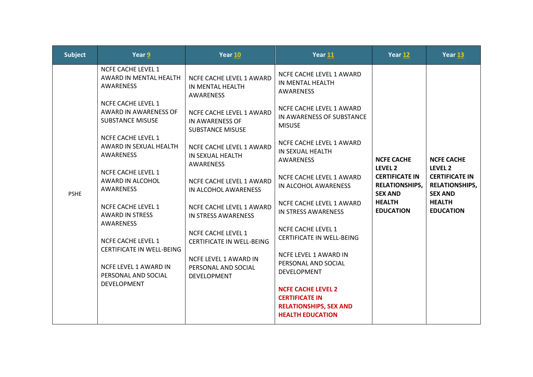| <b>Subject</b> | Year 9                                                                                                                       | Year 10                                                                | Year 11                                                                                                        | Year <sub>12</sub>                                                                                                                    | <b>Year 13</b>                                                                                                                                   |
|----------------|------------------------------------------------------------------------------------------------------------------------------|------------------------------------------------------------------------|----------------------------------------------------------------------------------------------------------------|---------------------------------------------------------------------------------------------------------------------------------------|--------------------------------------------------------------------------------------------------------------------------------------------------|
| <b>PSHE</b>    | NCFE CACHE LEVEL 1<br>AWARD IN MENTAL HEALTH<br><b>AWARENESS</b>                                                             | NCFE CACHE LEVEL 1 AWARD<br>IN MENTAL HEALTH<br>AWARENESS              | NCFE CACHE LEVEL 1 AWARD<br>IN MENTAL HEALTH<br><b>AWARENESS</b>                                               |                                                                                                                                       | <b>NCFE CACHE</b><br>LEVEL <sub>2</sub><br><b>CERTIFICATE IN</b><br><b>RELATIONSHIPS,</b><br><b>SEX AND</b><br><b>HEALTH</b><br><b>EDUCATION</b> |
|                | NCFE CACHE LEVEL 1<br>AWARD IN AWARENESS OF<br><b>SUBSTANCE MISUSE</b>                                                       | NCFE CACHE LEVEL 1 AWARD<br>IN AWARENESS OF<br><b>SUBSTANCE MISUSE</b> | NCFE CACHE LEVEL 1 AWARD<br>IN AWARENESS OF SUBSTANCE<br><b>MISUSE</b>                                         |                                                                                                                                       |                                                                                                                                                  |
|                | NCFE CACHE LEVEL 1<br>AWARD IN SEXUAL HEALTH<br><b>AWARENESS</b>                                                             | NCFE CACHE LEVEL 1 AWARD<br>IN SEXUAL HEALTH<br>AWARENESS              | NCFE CACHE LEVEL 1 AWARD<br>IN SEXUAL HEALTH<br>AWARENESS                                                      | <b>NCFE CACHE</b><br>LEVEL 2<br><b>CERTIFICATE IN</b><br><b>RELATIONSHIPS,</b><br><b>SEX AND</b><br><b>HEALTH</b><br><b>EDUCATION</b> |                                                                                                                                                  |
|                | NCFE CACHE LEVEL 1<br>AWARD IN ALCOHOL<br><b>AWARENESS</b>                                                                   | NCFE CACHE LEVEL 1 AWARD<br>IN ALCOHOL AWARENESS                       | NCFE CACHE LEVEL 1 AWARD<br>IN ALCOHOL AWARENESS                                                               |                                                                                                                                       |                                                                                                                                                  |
|                | NCFE CACHE LEVEL 1<br><b>AWARD IN STRESS</b><br>AWARENESS                                                                    | NCFE CACHE LEVEL 1 AWARD<br><b>IN STRESS AWARENESS</b>                 | NCFE CACHE LEVEL 1 AWARD<br>IN STRESS AWARENESS                                                                |                                                                                                                                       |                                                                                                                                                  |
|                | NCFE CACHE LEVEL 1<br><b>CERTIFICATE IN WELL-BEING</b><br>NCFE LEVEL 1 AWARD IN<br>PERSONAL AND SOCIAL<br><b>DEVELOPMENT</b> | NCFE CACHE LEVEL 1<br><b>CERTIFICATE IN WELL-BEING</b>                 | NCFE CACHE LEVEL 1<br>CERTIFICATE IN WELL-BEING                                                                |                                                                                                                                       |                                                                                                                                                  |
|                |                                                                                                                              | <b>NCFE LEVEL 1 AWARD IN</b><br>PERSONAL AND SOCIAL<br>DEVELOPMENT     | NCFE LEVEL 1 AWARD IN<br>PERSONAL AND SOCIAL<br><b>DEVELOPMENT</b>                                             |                                                                                                                                       |                                                                                                                                                  |
|                |                                                                                                                              |                                                                        | <b>NCFE CACHE LEVEL 2</b><br><b>CERTIFICATE IN</b><br><b>RELATIONSHIPS, SEX AND</b><br><b>HEALTH EDUCATION</b> |                                                                                                                                       |                                                                                                                                                  |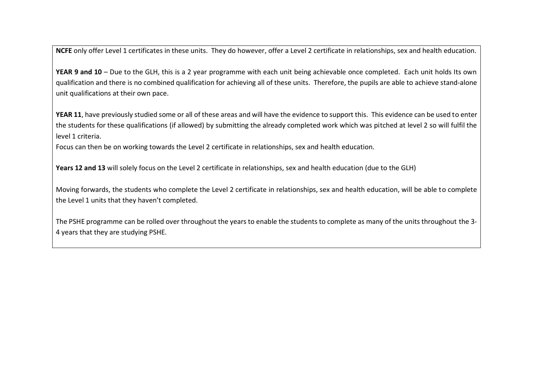**NCFE** only offer Level 1 certificates in these units. They do however, offer a Level 2 certificate in relationships, sex and health education.

**YEAR 9 and 10** – Due to the GLH, this is a 2 year programme with each unit being achievable once completed. Each unit holds Its own qualification and there is no combined qualification for achieving all of these units. Therefore, the pupils are able to achieve stand-alone unit qualifications at their own pace.

**YEAR 11**, have previously studied some or all of these areas and will have the evidence to support this. This evidence can be used to enter the students for these qualifications (if allowed) by submitting the already completed work which was pitched at level 2 so will fulfil the level 1 criteria.

Focus can then be on working towards the Level 2 certificate in relationships, sex and health education.

**Years 12 and 13** will solely focus on the Level 2 certificate in relationships, sex and health education (due to the GLH)

Moving forwards, the students who complete the Level 2 certificate in relationships, sex and health education, will be able to complete the Level 1 units that they haven't completed.

The PSHE programme can be rolled over throughout the years to enable the students to complete as many of the units throughout the 3- 4 years that they are studying PSHE.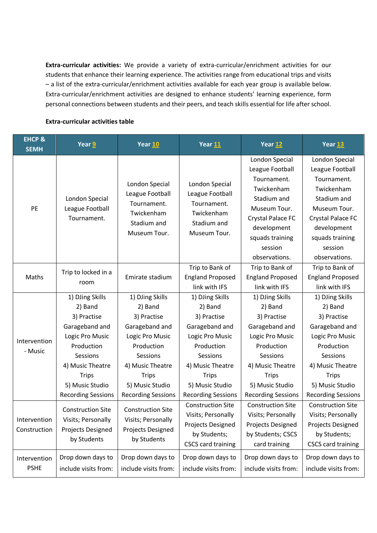**Extra-curricular activities:** We provide a variety of extra-curricular/enrichment activities for our students that enhance their learning experience. The activities range from educational trips and visits – a list of the extra-curricular/enrichment activities available for each year group is available below. Extra-curricular/enrichment activities are designed to enhance students' learning experience, form personal connections between students and their peers, and teach skills essential for life after school.

## **Extra-curricular activities table**

| <b>EHCP &amp;</b><br><b>SEMH</b> | Year 9                    | <b>Year 10</b>            | Year <sub>11</sub>                   | Year <sub>12</sub>        | Year <sub>13</sub>        |
|----------------------------------|---------------------------|---------------------------|--------------------------------------|---------------------------|---------------------------|
|                                  |                           |                           |                                      | London Special            | London Special            |
|                                  |                           |                           |                                      | League Football           | League Football           |
|                                  |                           | London Special            | London Special                       | Tournament.               | Tournament.               |
|                                  |                           | League Football           | League Football                      | Twickenham                | Twickenham                |
|                                  | London Special            | Tournament.               | Tournament.                          | Stadium and               | Stadium and               |
| PE                               | League Football           | Twickenham                | Twickenham                           | Museum Tour.              | Museum Tour.              |
|                                  | Tournament.               | Stadium and               | Stadium and                          | Crystal Palace FC         | Crystal Palace FC         |
|                                  |                           | Museum Tour.              | Museum Tour.                         | development               | development               |
|                                  |                           |                           |                                      | squads training           | squads training           |
|                                  |                           |                           |                                      | session                   | session                   |
|                                  |                           |                           |                                      | observations.             | observations.             |
|                                  | Trip to locked in a       |                           | Trip to Bank of                      | Trip to Bank of           | Trip to Bank of           |
| Maths                            | room                      | Emirate stadium           | <b>England Proposed</b>              | <b>England Proposed</b>   | <b>England Proposed</b>   |
|                                  |                           |                           | link with IFS                        | link with IFS             | link with IFS             |
|                                  | 1) DJing Skills           | 1) DJing Skills           | 1) DJing Skills                      | 1) DJing Skills           | 1) DJing Skills           |
|                                  | 2) Band                   | 2) Band                   | 2) Band                              | 2) Band                   | 2) Band                   |
|                                  | 3) Practise               | 3) Practise               | 3) Practise                          | 3) Practise               | 3) Practise               |
|                                  | Garageband and            | Garageband and            | Garageband and                       | Garageband and            | Garageband and            |
| Intervention                     | Logic Pro Music           | Logic Pro Music           | Logic Pro Music                      | Logic Pro Music           | Logic Pro Music           |
| - Music                          | Production                | Production                | Production<br>Production             |                           | Production                |
|                                  | Sessions                  | Sessions                  | Sessions                             | Sessions                  |                           |
|                                  | 4) Music Theatre          | 4) Music Theatre          | 4) Music Theatre<br>4) Music Theatre |                           | 4) Music Theatre          |
|                                  | <b>Trips</b>              | <b>Trips</b>              | <b>Trips</b>                         | <b>Trips</b>              | <b>Trips</b>              |
|                                  | 5) Music Studio           | 5) Music Studio           | 5) Music Studio                      | 5) Music Studio           | 5) Music Studio           |
|                                  | <b>Recording Sessions</b> | <b>Recording Sessions</b> | <b>Recording Sessions</b>            | <b>Recording Sessions</b> | <b>Recording Sessions</b> |
|                                  | <b>Construction Site</b>  | <b>Construction Site</b>  | <b>Construction Site</b>             | <b>Construction Site</b>  | <b>Construction Site</b>  |
| Intervention                     | Visits; Personally        | Visits; Personally        | Visits; Personally                   | Visits; Personally        | Visits; Personally        |
| Construction                     | Projects Designed         | Projects Designed         | Projects Designed                    | Projects Designed         | <b>Projects Designed</b>  |
|                                  | by Students               | by Students               | by Students;                         | by Students; CSCS         | by Students;              |
|                                  |                           |                           | <b>CSCS card training</b>            | card training             | <b>CSCS card training</b> |
| Intervention                     | Drop down days to         | Drop down days to         | Drop down days to                    | Drop down days to         | Drop down days to         |
| <b>PSHE</b>                      | include visits from:      | include visits from:      | include visits from:                 | include visits from:      | include visits from:      |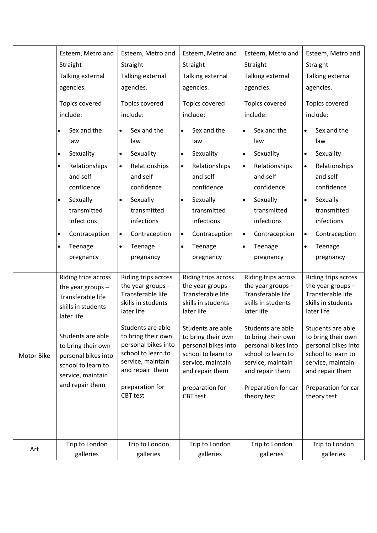|            | Esteem, Metro and                                                                                                                                                                                                                   | Esteem, Metro and                                                                                                                                                                                                                                                       | Esteem, Metro and                                                                                                                                                                                                                                                       | Esteem, Metro and                                                                                                                                                                                                                                                         | Esteem, Metro and                                                                                                                                                                                                                                                         |
|------------|-------------------------------------------------------------------------------------------------------------------------------------------------------------------------------------------------------------------------------------|-------------------------------------------------------------------------------------------------------------------------------------------------------------------------------------------------------------------------------------------------------------------------|-------------------------------------------------------------------------------------------------------------------------------------------------------------------------------------------------------------------------------------------------------------------------|---------------------------------------------------------------------------------------------------------------------------------------------------------------------------------------------------------------------------------------------------------------------------|---------------------------------------------------------------------------------------------------------------------------------------------------------------------------------------------------------------------------------------------------------------------------|
|            | Straight                                                                                                                                                                                                                            | Straight                                                                                                                                                                                                                                                                | Straight                                                                                                                                                                                                                                                                | Straight                                                                                                                                                                                                                                                                  | Straight                                                                                                                                                                                                                                                                  |
|            | Talking external                                                                                                                                                                                                                    | Talking external                                                                                                                                                                                                                                                        | Talking external                                                                                                                                                                                                                                                        | Talking external                                                                                                                                                                                                                                                          | Talking external                                                                                                                                                                                                                                                          |
|            | agencies.                                                                                                                                                                                                                           | agencies.                                                                                                                                                                                                                                                               | agencies.                                                                                                                                                                                                                                                               | agencies.                                                                                                                                                                                                                                                                 | agencies.                                                                                                                                                                                                                                                                 |
|            | Topics covered                                                                                                                                                                                                                      | Topics covered                                                                                                                                                                                                                                                          | Topics covered                                                                                                                                                                                                                                                          | Topics covered                                                                                                                                                                                                                                                            | Topics covered                                                                                                                                                                                                                                                            |
|            | include:                                                                                                                                                                                                                            | include:                                                                                                                                                                                                                                                                | include:                                                                                                                                                                                                                                                                | include:                                                                                                                                                                                                                                                                  | include:                                                                                                                                                                                                                                                                  |
|            | Sex and the                                                                                                                                                                                                                         | Sex and the                                                                                                                                                                                                                                                             | Sex and the                                                                                                                                                                                                                                                             | Sex and the                                                                                                                                                                                                                                                               | Sex and the                                                                                                                                                                                                                                                               |
|            | $\bullet$                                                                                                                                                                                                                           | $\bullet$                                                                                                                                                                                                                                                               | $\bullet$                                                                                                                                                                                                                                                               | $\bullet$                                                                                                                                                                                                                                                                 | $\bullet$                                                                                                                                                                                                                                                                 |
|            | law                                                                                                                                                                                                                                 | law                                                                                                                                                                                                                                                                     | law                                                                                                                                                                                                                                                                     | law                                                                                                                                                                                                                                                                       | law                                                                                                                                                                                                                                                                       |
|            | Sexuality<br>$\bullet$                                                                                                                                                                                                              | Sexuality<br>$\bullet$                                                                                                                                                                                                                                                  | Sexuality<br>$\bullet$                                                                                                                                                                                                                                                  | Sexuality                                                                                                                                                                                                                                                                 | Sexuality<br>$\bullet$                                                                                                                                                                                                                                                    |
|            | Relationships<br>$\bullet$<br>and self<br>confidence                                                                                                                                                                                | Relationships<br>$\bullet$<br>and self<br>confidence                                                                                                                                                                                                                    | Relationships<br>$\bullet$<br>and self<br>confidence                                                                                                                                                                                                                    | Relationships<br>and self<br>confidence                                                                                                                                                                                                                                   | Relationships<br>$\bullet$<br>and self<br>confidence                                                                                                                                                                                                                      |
|            | Sexually                                                                                                                                                                                                                            | Sexually                                                                                                                                                                                                                                                                | Sexually                                                                                                                                                                                                                                                                | Sexually                                                                                                                                                                                                                                                                  | Sexually                                                                                                                                                                                                                                                                  |
|            | $\bullet$                                                                                                                                                                                                                           | $\bullet$                                                                                                                                                                                                                                                               | $\bullet$                                                                                                                                                                                                                                                               | $\bullet$                                                                                                                                                                                                                                                                 | $\bullet$                                                                                                                                                                                                                                                                 |
|            | transmitted                                                                                                                                                                                                                         | transmitted                                                                                                                                                                                                                                                             | transmitted                                                                                                                                                                                                                                                             | transmitted                                                                                                                                                                                                                                                               | transmitted                                                                                                                                                                                                                                                               |
|            | infections                                                                                                                                                                                                                          | infections                                                                                                                                                                                                                                                              | infections                                                                                                                                                                                                                                                              | infections                                                                                                                                                                                                                                                                | infections                                                                                                                                                                                                                                                                |
|            | Contraception                                                                                                                                                                                                                       | Contraception                                                                                                                                                                                                                                                           | Contraception                                                                                                                                                                                                                                                           | Contraception                                                                                                                                                                                                                                                             | Contraception                                                                                                                                                                                                                                                             |
|            | $\bullet$                                                                                                                                                                                                                           | $\bullet$                                                                                                                                                                                                                                                               | $\bullet$                                                                                                                                                                                                                                                               | $\bullet$                                                                                                                                                                                                                                                                 | $\bullet$                                                                                                                                                                                                                                                                 |
|            | Teenage                                                                                                                                                                                                                             | Teenage                                                                                                                                                                                                                                                                 | Teenage                                                                                                                                                                                                                                                                 | Teenage                                                                                                                                                                                                                                                                   | Teenage                                                                                                                                                                                                                                                                   |
|            | $\bullet$                                                                                                                                                                                                                           | $\bullet$                                                                                                                                                                                                                                                               | $\bullet$                                                                                                                                                                                                                                                               | $\bullet$                                                                                                                                                                                                                                                                 | $\bullet$                                                                                                                                                                                                                                                                 |
|            | pregnancy                                                                                                                                                                                                                           | pregnancy                                                                                                                                                                                                                                                               | pregnancy                                                                                                                                                                                                                                                               | pregnancy                                                                                                                                                                                                                                                                 | pregnancy                                                                                                                                                                                                                                                                 |
| Motor Bike | Riding trips across<br>the year groups $-$<br>Transferable life<br>skills in students<br>later life<br>Students are able<br>to bring their own<br>personal bikes into<br>school to learn to<br>service, maintain<br>and repair them | Riding trips across<br>the year groups -<br>Transferable life<br>skills in students<br>later life<br>Students are able<br>to bring their own<br>personal bikes into<br>school to learn to<br>service, maintain<br>and repair them<br>preparation for<br><b>CBT</b> test | Riding trips across<br>the year groups -<br>Transferable life<br>skills in students<br>later life<br>Students are able<br>to bring their own<br>personal bikes into<br>school to learn to<br>service, maintain<br>and repair them<br>preparation for<br><b>CBT</b> test | Riding trips across<br>the year groups $-$<br>Transferable life<br>skills in students<br>later life<br>Students are able<br>to bring their own<br>personal bikes into<br>school to learn to<br>service, maintain<br>and repair them<br>Preparation for car<br>theory test | Riding trips across<br>the year groups $-$<br>Transferable life<br>skills in students<br>later life<br>Students are able<br>to bring their own<br>personal bikes into<br>school to learn to<br>service, maintain<br>and repair them<br>Preparation for car<br>theory test |
| Art        | Trip to London                                                                                                                                                                                                                      | Trip to London                                                                                                                                                                                                                                                          | Trip to London                                                                                                                                                                                                                                                          | Trip to London                                                                                                                                                                                                                                                            | Trip to London                                                                                                                                                                                                                                                            |
|            | galleries                                                                                                                                                                                                                           | galleries                                                                                                                                                                                                                                                               | galleries                                                                                                                                                                                                                                                               | galleries                                                                                                                                                                                                                                                                 | galleries                                                                                                                                                                                                                                                                 |